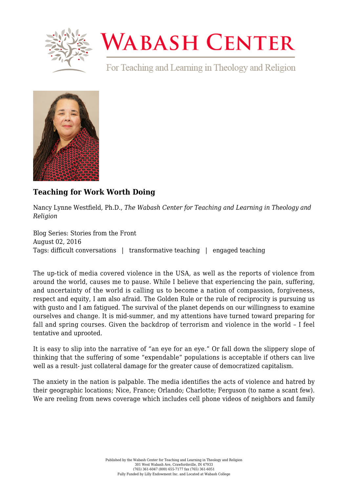

## **WABASH CENTER**

For Teaching and Learning in Theology and Religion



## **[Teaching for Work Worth Doing](https://www.wabashcenter.wabash.edu/2016/08/teaching-for-work-worth-doing/)**

Nancy Lynne Westfield, Ph.D., *The Wabash Center for Teaching and Learning in Theology and Religion*

Blog Series: Stories from the Front August 02, 2016 Tags: difficult conversations | transformative teaching | engaged teaching

The up-tick of media covered violence in the USA, as well as the reports of violence from around the world, causes me to pause. While I believe that experiencing the pain, suffering, and uncertainty of the world is calling us to become a nation of compassion, forgiveness, respect and equity, I am also afraid. The Golden Rule or the rule of reciprocity is pursuing us with gusto and I am fatigued. The survival of the planet depends on our willingness to examine ourselves and change. It is mid-summer, and my attentions have turned toward preparing for fall and spring courses. Given the backdrop of terrorism and violence in the world – I feel tentative and uprooted.

It is easy to slip into the narrative of "an eye for an eye." Or fall down the slippery slope of thinking that the suffering of some "expendable" populations is acceptable if others can live well as a result- just collateral damage for the greater cause of democratized capitalism.

The anxiety in the nation is palpable. The media identifies the acts of violence and hatred by their geographic locations; Nice, France; Orlando; Charlotte; Ferguson (to name a scant few). We are reeling from news coverage which includes cell phone videos of neighbors and family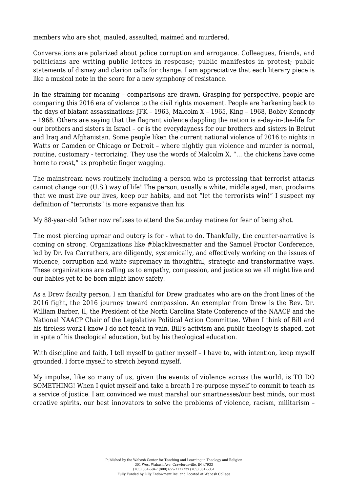members who are shot, mauled, assaulted, maimed and murdered.

Conversations are polarized about police corruption and arrogance. Colleagues, friends, and politicians are writing public letters in response; public manifestos in protest; public statements of dismay and clarion calls for change. I am appreciative that each literary piece is like a musical note in the score for a new symphony of resistance.

In the straining for meaning – comparisons are drawn. Grasping for perspective, people are comparing this 2016 era of violence to the civil rights movement. People are harkening back to the days of blatant assassinations: JFK – 1963, Malcolm X – 1965, King – 1968, Bobby Kennedy – 1968. Others are saying that the flagrant violence dappling the nation is a-day-in-the-life for our brothers and sisters in Israel – or is the everydayness for our brothers and sisters in Beirut and Iraq and Afghanistan. Some people liken the current national violence of 2016 to nights in Watts or Camden or Chicago or Detroit - where nightly gun violence and murder is normal. routine, customary - terrorizing. They use the words of Malcolm X, "… the chickens have come home to roost," as prophetic finger wagging.

The mainstream news routinely including a person who is professing that terrorist attacks cannot change our (U.S.) way of life! The person, usually a white, middle aged, man, proclaims that we must live our lives, keep our habits, and not "let the terrorists win!" I suspect my definition of "terrorists" is more expansive than his.

My 88-year-old father now refuses to attend the Saturday matinee for fear of being shot.

The most piercing uproar and outcry is for - what to do. Thankfully, the counter-narrative is coming on strong. Organizations like #blacklivesmatter and the Samuel Proctor Conference, led by Dr. Iva Carruthers, are diligently, systemically, and effectively working on the issues of violence, corruption and white supremacy in thoughtful, strategic and transformative ways. These organizations are calling us to empathy, compassion, and justice so we all might live and our babies yet-to-be-born might know safety.

As a Drew faculty person, I am thankful for Drew graduates who are on the front lines of the 2016 fight, the 2016 journey toward compassion. An exemplar from Drew is the Rev. Dr. William Barber, II, the President of the North Carolina State Conference of the NAACP and the National NAACP Chair of the Legislative Political Action Committee. When I think of Bill and his tireless work I know I do not teach in vain. Bill's activism and public theology is shaped, not in spite of his theological education, but by his theological education.

With discipline and faith, I tell myself to gather myself - I have to, with intention, keep myself grounded. I force myself to stretch beyond myself.

My impulse, like so many of us, given the events of violence across the world, is TO DO SOMETHING! When I quiet myself and take a breath I re-purpose myself to commit to teach as a service of justice. I am convinced we must marshal our smartnesses/our best minds, our most creative spirits, our best innovators to solve the problems of violence, racism, militarism –